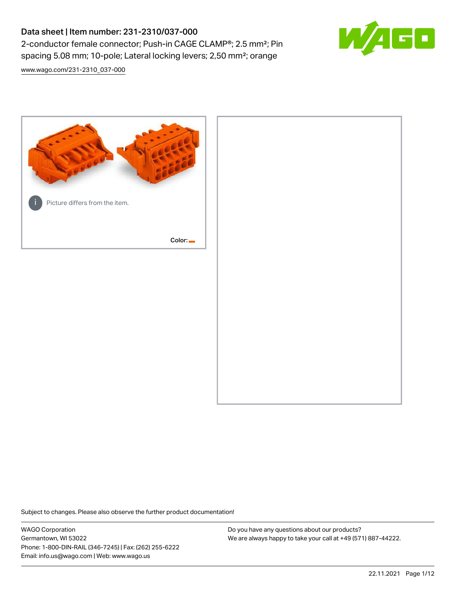# Data sheet | Item number: 231-2310/037-000 2-conductor female connector; Push-in CAGE CLAMP®; 2.5 mm²; Pin spacing 5.08 mm; 10-pole; Lateral locking levers; 2,50 mm²; orange



[www.wago.com/231-2310\\_037-000](http://www.wago.com/231-2310_037-000)



Subject to changes. Please also observe the further product documentation!

WAGO Corporation Germantown, WI 53022 Phone: 1-800-DIN-RAIL (346-7245) | Fax: (262) 255-6222 Email: info.us@wago.com | Web: www.wago.us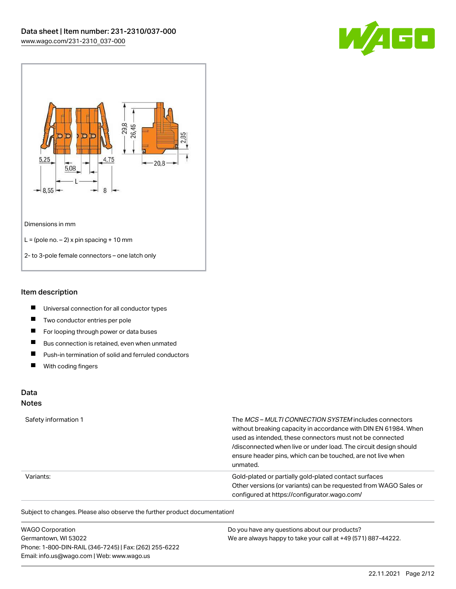



#### Item description

- $\blacksquare$ Universal connection for all conductor types
- $\blacksquare$ Two conductor entries per pole
- $\blacksquare$ For looping through power or data buses
- $\blacksquare$ Bus connection is retained, even when unmated
- $\blacksquare$ Push-in termination of solid and ferruled conductors
- $\blacksquare$ With coding fingers

# Data

#### Notes

| Safety information 1 | The MCS-MULTI CONNECTION SYSTEM includes connectors<br>without breaking capacity in accordance with DIN EN 61984. When<br>used as intended, these connectors must not be connected<br>/disconnected when live or under load. The circuit design should<br>ensure header pins, which can be touched, are not live when<br>unmated. |
|----------------------|-----------------------------------------------------------------------------------------------------------------------------------------------------------------------------------------------------------------------------------------------------------------------------------------------------------------------------------|
| Variants:            | Gold-plated or partially gold-plated contact surfaces<br>Other versions (or variants) can be requested from WAGO Sales or<br>configured at https://configurator.wago.com/                                                                                                                                                         |

| <b>WAGO Corporation</b>                                | Do you have any questions about our products?                 |
|--------------------------------------------------------|---------------------------------------------------------------|
| Germantown, WI 53022                                   | We are always happy to take your call at +49 (571) 887-44222. |
| Phone: 1-800-DIN-RAIL (346-7245)   Fax: (262) 255-6222 |                                                               |
| Email: info.us@wago.com   Web: www.wago.us             |                                                               |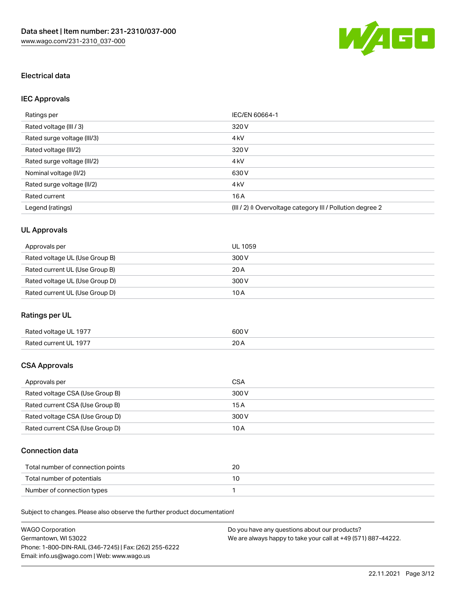

# Electrical data

# IEC Approvals

| Ratings per                 | IEC/EN 60664-1                                                        |
|-----------------------------|-----------------------------------------------------------------------|
| Rated voltage (III / 3)     | 320 V                                                                 |
| Rated surge voltage (III/3) | 4 <sub>k</sub> V                                                      |
| Rated voltage (III/2)       | 320 V                                                                 |
| Rated surge voltage (III/2) | 4 <sub>k</sub> V                                                      |
| Nominal voltage (II/2)      | 630 V                                                                 |
| Rated surge voltage (II/2)  | 4 <sub>k</sub> V                                                      |
| Rated current               | 16A                                                                   |
| Legend (ratings)            | $(III / 2)$ $\triangle$ Overvoltage category III / Pollution degree 2 |

# UL Approvals

| Approvals per                  | UL 1059 |
|--------------------------------|---------|
| Rated voltage UL (Use Group B) | 300 V   |
| Rated current UL (Use Group B) | 20 A    |
| Rated voltage UL (Use Group D) | 300 V   |
| Rated current UL (Use Group D) | 10 A    |

# Ratings per UL

| Rated voltage UL 1977 | 600 V       |
|-----------------------|-------------|
| Rated current UL 1977 | 20h<br>20 A |

## CSA Approvals

| Approvals per                   | CSA   |
|---------------------------------|-------|
| Rated voltage CSA (Use Group B) | 300 V |
| Rated current CSA (Use Group B) | 15 A  |
| Rated voltage CSA (Use Group D) | 300 V |
| Rated current CSA (Use Group D) | 10 A  |

## Connection data

| Total number of connection points | 20 |
|-----------------------------------|----|
| Total number of potentials        |    |
| Number of connection types        |    |

| <b>WAGO Corporation</b>                                | Do you have any questions about our products?                 |
|--------------------------------------------------------|---------------------------------------------------------------|
| Germantown. WI 53022                                   | We are always happy to take your call at +49 (571) 887-44222. |
| Phone: 1-800-DIN-RAIL (346-7245)   Fax: (262) 255-6222 |                                                               |
| Email: info.us@wago.com   Web: www.wago.us             |                                                               |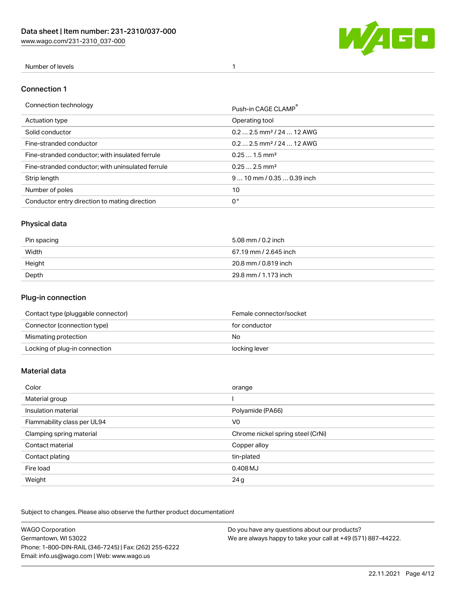[www.wago.com/231-2310\\_037-000](http://www.wago.com/231-2310_037-000)



## Number of levels 1

#### Connection 1

| Connection technology                             | Push-in CAGE CLAMP®                   |
|---------------------------------------------------|---------------------------------------|
| Actuation type                                    | Operating tool                        |
| Solid conductor                                   | $0.22.5$ mm <sup>2</sup> / 24  12 AWG |
| Fine-stranded conductor                           | $0.22.5$ mm <sup>2</sup> / 24  12 AWG |
| Fine-stranded conductor; with insulated ferrule   | $0.251.5$ mm <sup>2</sup>             |
| Fine-stranded conductor; with uninsulated ferrule | $0.252.5$ mm <sup>2</sup>             |
| Strip length                                      | $910$ mm $/0.350.39$ inch             |
| Number of poles                                   | 10                                    |
| Conductor entry direction to mating direction     | 0°                                    |
|                                                   |                                       |

# Physical data

| Pin spacing | 5.08 mm / 0.2 inch    |
|-------------|-----------------------|
| Width       | 67.19 mm / 2.645 inch |
| Height      | 20.8 mm / 0.819 inch  |
| Depth       | 29.8 mm / 1.173 inch  |

## Plug-in connection

| Contact type (pluggable connector) | Female connector/socket |
|------------------------------------|-------------------------|
| Connector (connection type)        | for conductor           |
| Mismating protection               | No.                     |
| Locking of plug-in connection      | locking lever           |

#### Material data

| Color                       | orange                            |
|-----------------------------|-----------------------------------|
| Material group              |                                   |
| Insulation material         | Polyamide (PA66)                  |
| Flammability class per UL94 | V <sub>0</sub>                    |
| Clamping spring material    | Chrome nickel spring steel (CrNi) |
| Contact material            | Copper alloy                      |
| Contact plating             | tin-plated                        |
| Fire load                   | 0.408 MJ                          |
| Weight                      | 24g                               |

| <b>WAGO Corporation</b>                                | Do you have any questions about our products?                 |
|--------------------------------------------------------|---------------------------------------------------------------|
| Germantown, WI 53022                                   | We are always happy to take your call at +49 (571) 887-44222. |
| Phone: 1-800-DIN-RAIL (346-7245)   Fax: (262) 255-6222 |                                                               |
| Email: info.us@wago.com   Web: www.wago.us             |                                                               |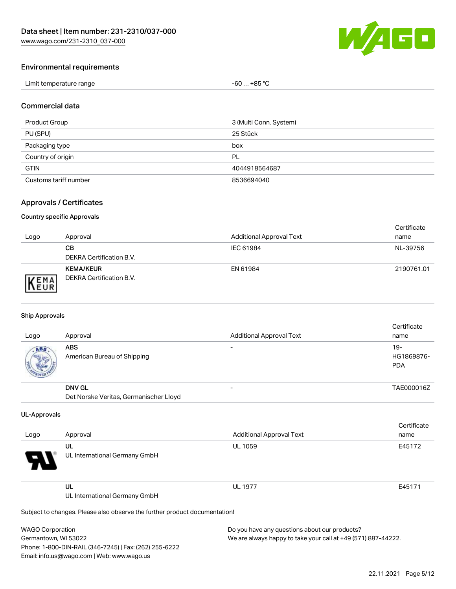

#### Environmental requirements

| Limit temperature range | +85 °C<br>-60<br>$\sim$<br>___ |
|-------------------------|--------------------------------|
|-------------------------|--------------------------------|

#### Commercial data

| Product Group         | 3 (Multi Conn. System) |
|-----------------------|------------------------|
| PU (SPU)              | 25 Stück               |
| Packaging type        | box                    |
| Country of origin     | PL                     |
| <b>GTIN</b>           | 4044918564687          |
| Customs tariff number | 8536694040             |

## Approvals / Certificates

#### Country specific Approvals

| Logo                | Approval                                     | <b>Additional Approval Text</b> | Certificate<br>name |
|---------------------|----------------------------------------------|---------------------------------|---------------------|
|                     | CВ<br>DEKRA Certification B.V.               | IEC 61984                       | NL-39756            |
| EMA<br><b>INEUR</b> | <b>KEMA/KEUR</b><br>DEKRA Certification B.V. | EN 61984                        | 2190761.01          |

#### Ship Approvals

| Logo | Approval                                  | <b>Additional Approval Text</b> | Certificate<br>name                |
|------|-------------------------------------------|---------------------------------|------------------------------------|
| ABS  | <b>ABS</b><br>American Bureau of Shipping |                                 | $19 -$<br>HG1869876-<br><b>PDA</b> |
|      | <b>DNV GL</b>                             |                                 | TAE000016Z                         |
|      | Det Norske Veritas, Germanischer Lloyd    |                                 |                                    |

#### UL-Approvals

| Logo     | Approval                            | <b>Additional Approval Text</b> | Certificate<br>name |
|----------|-------------------------------------|---------------------------------|---------------------|
| Ъ.<br>77 | UL<br>UL International Germany GmbH | <b>UL 1059</b>                  | E45172              |
|          | UL<br>UL International Germany GmbH | <b>UL 1977</b>                  | E45171              |

Subject to changes. Please also observe the further product documentation!

| <b>WAGO Corporation</b>                                |
|--------------------------------------------------------|
| Germantown, WI 53022                                   |
| Phone: 1-800-DIN-RAIL (346-7245)   Fax: (262) 255-6222 |
| Email: info.us@wago.com   Web: www.wago.us             |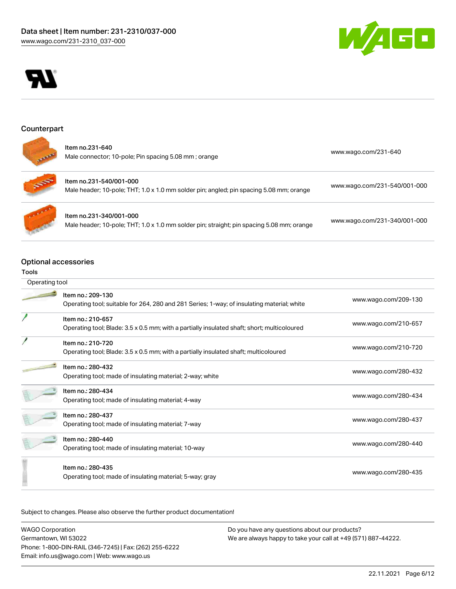



## Counterpart

| Item no.231-640                                      | www.wago.com/231-640 |
|------------------------------------------------------|----------------------|
| Male connector; 10-pole; Pin spacing 5.08 mm; orange |                      |



| ltem no.231-540/001-000                                                                 |                              |
|-----------------------------------------------------------------------------------------|------------------------------|
| Male header; 10-pole; THT; 1.0 x 1.0 mm solder pin; angled; pin spacing 5.08 mm; orange | www.wago.com/231-540/001-000 |



Item no.231-340/001-000 Male header; 10-pole; THT; 1.0 x 1.0 mm solder pin; straight; pin spacing 5.08 mm; orange [www.wago.com/231-340/001-000](https://www.wago.com/231-340/001-000)

# Optional accessories

#### Tools

| Operating tool |                                                                                                                  |                      |
|----------------|------------------------------------------------------------------------------------------------------------------|----------------------|
|                | Item no.: 209-130<br>Operating tool; suitable for 264, 280 and 281 Series; 1-way; of insulating material; white  | www.wago.com/209-130 |
|                | Item no.: 210-657<br>Operating tool; Blade: 3.5 x 0.5 mm; with a partially insulated shaft; short; multicoloured | www.wago.com/210-657 |
|                | Item no.: 210-720<br>Operating tool; Blade: 3.5 x 0.5 mm; with a partially insulated shaft; multicoloured        | www.wago.com/210-720 |
|                | Item no.: 280-432<br>Operating tool; made of insulating material; 2-way; white                                   | www.wago.com/280-432 |
|                | Item no.: 280-434<br>Operating tool; made of insulating material; 4-way                                          | www.wago.com/280-434 |
|                | Item no.: 280-437<br>Operating tool; made of insulating material; 7-way                                          | www.wago.com/280-437 |
|                | Item no.: 280-440<br>Operating tool; made of insulating material; 10-way                                         | www.wago.com/280-440 |
|                | Item no.: 280-435<br>Operating tool; made of insulating material; 5-way; gray                                    | www.wago.com/280-435 |

| <b>WAGO Corporation</b>                                | Do you have any questions about our products?                 |
|--------------------------------------------------------|---------------------------------------------------------------|
| Germantown, WI 53022                                   | We are always happy to take your call at +49 (571) 887-44222. |
| Phone: 1-800-DIN-RAIL (346-7245)   Fax: (262) 255-6222 |                                                               |
| Email: info.us@wago.com   Web: www.wago.us             |                                                               |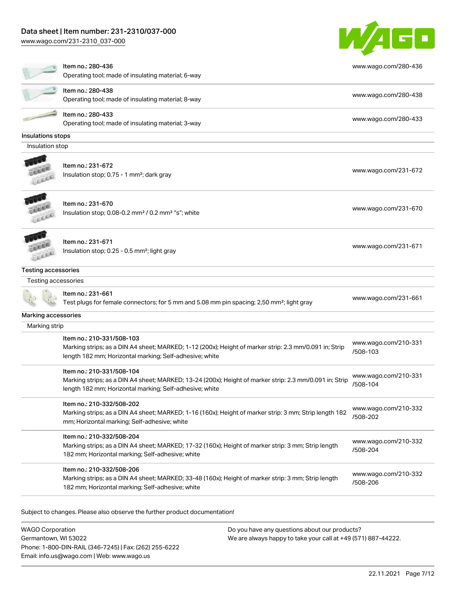## Data sheet | Item number: 231-2310/037-000

[www.wago.com/231-2310\\_037-000](http://www.wago.com/231-2310_037-000)



|                     | ltem no.: 280-436<br>Operating tool; made of insulating material; 6-way                                                                                                                         | www.wago.com/280-436             |  |
|---------------------|-------------------------------------------------------------------------------------------------------------------------------------------------------------------------------------------------|----------------------------------|--|
|                     | ltem no.: 280-438<br>Operating tool; made of insulating material; 8-way                                                                                                                         | www.wago.com/280-438             |  |
|                     | Item no.: 280-433<br>Operating tool; made of insulating material; 3-way                                                                                                                         | www.wago.com/280-433             |  |
| Insulations stops   |                                                                                                                                                                                                 |                                  |  |
| Insulation stop     |                                                                                                                                                                                                 |                                  |  |
|                     | Item no.: 231-672                                                                                                                                                                               |                                  |  |
|                     | Insulation stop; 0.75 - 1 mm <sup>2</sup> ; dark gray                                                                                                                                           | www.wago.com/231-672             |  |
|                     | Item no.: 231-670                                                                                                                                                                               |                                  |  |
|                     | Insulation stop; 0.08-0.2 mm <sup>2</sup> / 0.2 mm <sup>2</sup> "s"; white                                                                                                                      | www.wago.com/231-670             |  |
|                     | Item no.: 231-671                                                                                                                                                                               |                                  |  |
|                     | Insulation stop; 0.25 - 0.5 mm <sup>2</sup> ; light gray                                                                                                                                        | www.wago.com/231-671             |  |
| Testing accessories |                                                                                                                                                                                                 |                                  |  |
| Testing accessories |                                                                                                                                                                                                 |                                  |  |
|                     | Item no.: 231-661<br>Test plugs for female connectors; for 5 mm and 5.08 mm pin spacing; 2,50 mm <sup>2</sup> ; light gray                                                                      | www.wago.com/231-661             |  |
| Marking accessories |                                                                                                                                                                                                 |                                  |  |
| Marking strip       |                                                                                                                                                                                                 |                                  |  |
|                     | Item no.: 210-331/508-103<br>Marking strips; as a DIN A4 sheet; MARKED; 1-12 (200x); Height of marker strip: 2.3 mm/0.091 in; Strip<br>length 182 mm; Horizontal marking; Self-adhesive; white  | www.wago.com/210-331<br>/508-103 |  |
|                     | Item no.: 210-331/508-104<br>Marking strips; as a DIN A4 sheet; MARKED; 13-24 (200x); Height of marker strip: 2.3 mm/0.091 in; Strip<br>length 182 mm; Horizontal marking; Self-adhesive; white | www.wago.com/210-331<br>/508-104 |  |
|                     | Item no.: 210-332/508-202<br>Marking strips; as a DIN A4 sheet; MARKED; 1-16 (160x); Height of marker strip: 3 mm; Strip length 182<br>mm; Horizontal marking; Self-adhesive; white             | www.wago.com/210-332<br>/508-202 |  |
|                     | Item no.: 210-332/508-204<br>Marking strips; as a DIN A4 sheet; MARKED; 17-32 (160x); Height of marker strip: 3 mm; Strip length<br>182 mm; Horizontal marking; Self-adhesive; white            | www.wago.com/210-332<br>/508-204 |  |
|                     | Item no.: 210-332/508-206<br>Marking strips; as a DIN A4 sheet; MARKED; 33-48 (160x); Height of marker strip: 3 mm; Strip length<br>182 mm; Horizontal marking; Self-adhesive; white            | www.wago.com/210-332<br>/508-206 |  |
|                     |                                                                                                                                                                                                 |                                  |  |

Subject to changes. Please also observe the further product documentation!

WAGO Corporation Germantown, WI 53022 Phone: 1-800-DIN-RAIL (346-7245) | Fax: (262) 255-6222 Email: info.us@wago.com | Web: www.wago.us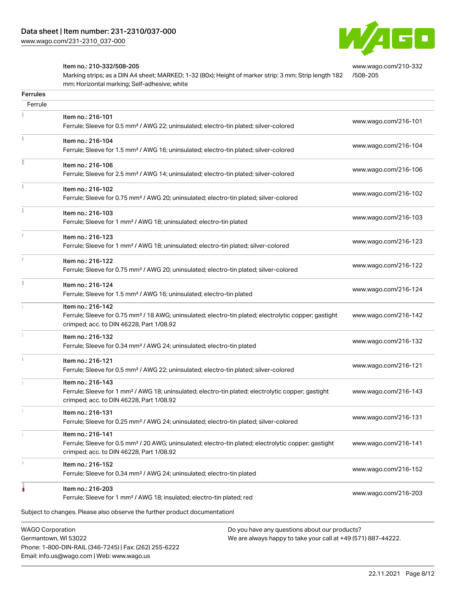

[www.wago.com/210-332](http://www.wago.com/210-332/508-205)

#### Item no.: 210-332/508-205

Marking strips; as a DIN A4 sheet; MARKED; 1-32 (80x); Height of marker strip: 3 mm; Strip length 182 mm; Horizontal marking; Self-adhesive; white [/508-205](http://www.wago.com/210-332/508-205)

| Ferrule |                                                                                                                                                                                    |                      |
|---------|------------------------------------------------------------------------------------------------------------------------------------------------------------------------------------|----------------------|
|         | Item no.: 216-101<br>Ferrule; Sleeve for 0.5 mm <sup>2</sup> / AWG 22; uninsulated; electro-tin plated; silver-colored                                                             | www.wago.com/216-101 |
|         | Item no.: 216-104<br>Ferrule; Sleeve for 1.5 mm <sup>2</sup> / AWG 16; uninsulated; electro-tin plated; silver-colored                                                             | www.wago.com/216-104 |
|         | Item no.: 216-106<br>Ferrule; Sleeve for 2.5 mm <sup>2</sup> / AWG 14; uninsulated; electro-tin plated; silver-colored                                                             | www.wago.com/216-106 |
|         | Item no.: 216-102<br>Ferrule; Sleeve for 0.75 mm <sup>2</sup> / AWG 20; uninsulated; electro-tin plated; silver-colored                                                            | www.wago.com/216-102 |
|         | Item no.: 216-103<br>Ferrule; Sleeve for 1 mm <sup>2</sup> / AWG 18; uninsulated; electro-tin plated                                                                               | www.wago.com/216-103 |
|         | Item no.: 216-123<br>Ferrule; Sleeve for 1 mm <sup>2</sup> / AWG 18; uninsulated; electro-tin plated; silver-colored                                                               | www.wago.com/216-123 |
|         | Item no.: 216-122<br>Ferrule; Sleeve for 0.75 mm <sup>2</sup> / AWG 20; uninsulated; electro-tin plated; silver-colored                                                            | www.wago.com/216-122 |
|         | Item no.: 216-124<br>Ferrule; Sleeve for 1.5 mm <sup>2</sup> / AWG 16; uninsulated; electro-tin plated                                                                             | www.wago.com/216-124 |
|         | Item no.: 216-142<br>Ferrule; Sleeve for 0.75 mm <sup>2</sup> / 18 AWG; uninsulated; electro-tin plated; electrolytic copper; gastight<br>crimped; acc. to DIN 46228, Part 1/08.92 | www.wago.com/216-142 |
|         | Item no.: 216-132<br>Ferrule; Sleeve for 0.34 mm <sup>2</sup> / AWG 24; uninsulated; electro-tin plated                                                                            | www.wago.com/216-132 |
|         | Item no.: 216-121<br>Ferrule; Sleeve for 0.5 mm <sup>2</sup> / AWG 22; uninsulated; electro-tin plated; silver-colored                                                             | www.wago.com/216-121 |
|         | Item no.: 216-143<br>Ferrule; Sleeve for 1 mm <sup>2</sup> / AWG 18; uninsulated; electro-tin plated; electrolytic copper; gastight<br>crimped; acc. to DIN 46228, Part 1/08.92    | www.wago.com/216-143 |
|         | Item no.: 216-131<br>Ferrule; Sleeve for 0.25 mm <sup>2</sup> / AWG 24; uninsulated; electro-tin plated; silver-colored                                                            | www.wago.com/216-131 |
|         | Item no.: 216-141<br>Ferrule; Sleeve for 0.5 mm <sup>2</sup> / 20 AWG; uninsulated; electro-tin plated; electrolytic copper; gastight<br>crimped; acc. to DIN 46228, Part 1/08.92  | www.wago.com/216-141 |
|         | Item no.: 216-152<br>Ferrule; Sleeve for 0.34 mm <sup>2</sup> / AWG 24; uninsulated; electro-tin plated                                                                            | www.wago.com/216-152 |
|         | Item no.: 216-203<br>Ferrule; Sleeve for 1 mm <sup>2</sup> / AWG 18; insulated; electro-tin plated; red                                                                            | www.wago.com/216-203 |
|         | Subject to changes. Please also observe the further product documentation!                                                                                                         |                      |

We are always happy to take your call at +49 (571) 887-44222.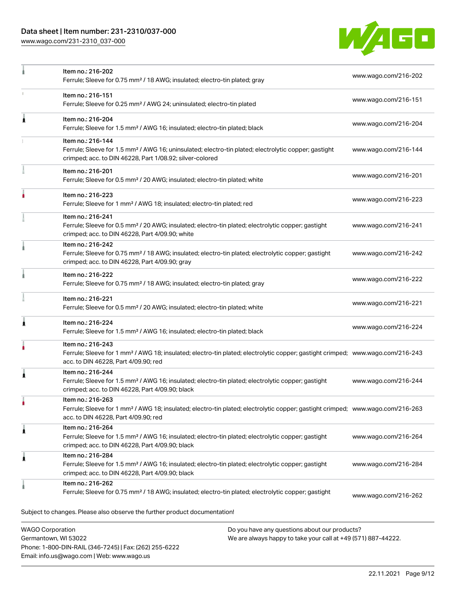# Data sheet | Item number: 231-2310/037-000

Phone: 1-800-DIN-RAIL (346-7245) | Fax: (262) 255-6222

Email: info.us@wago.com | Web: www.wago.us

[www.wago.com/231-2310\\_037-000](http://www.wago.com/231-2310_037-000)



|                                                 | Item no.: 216-202                                                                                                                                                                                       | www.wago.com/216-202<br>Ferrule; Sleeve for 0.75 mm <sup>2</sup> / 18 AWG; insulated; electro-tin plated; gray |                      |  |
|-------------------------------------------------|---------------------------------------------------------------------------------------------------------------------------------------------------------------------------------------------------------|----------------------------------------------------------------------------------------------------------------|----------------------|--|
|                                                 | Item no.: 216-151<br>Ferrule; Sleeve for 0.25 mm <sup>2</sup> / AWG 24; uninsulated; electro-tin plated                                                                                                 |                                                                                                                | www.wago.com/216-151 |  |
| Â                                               | Item no.: 216-204<br>Ferrule; Sleeve for 1.5 mm <sup>2</sup> / AWG 16; insulated; electro-tin plated; black                                                                                             |                                                                                                                | www.wago.com/216-204 |  |
|                                                 | Item no.: 216-144<br>Ferrule; Sleeve for 1.5 mm <sup>2</sup> / AWG 16; uninsulated; electro-tin plated; electrolytic copper; gastight<br>crimped; acc. to DIN 46228, Part 1/08.92; silver-colored       |                                                                                                                | www.wago.com/216-144 |  |
|                                                 | Item no.: 216-201<br>Ferrule; Sleeve for 0.5 mm <sup>2</sup> / 20 AWG; insulated; electro-tin plated; white                                                                                             |                                                                                                                | www.wago.com/216-201 |  |
|                                                 | Item no.: 216-223<br>Ferrule; Sleeve for 1 mm <sup>2</sup> / AWG 18; insulated; electro-tin plated; red                                                                                                 |                                                                                                                | www.wago.com/216-223 |  |
|                                                 | Item no.: 216-241<br>Ferrule; Sleeve for 0.5 mm <sup>2</sup> / 20 AWG; insulated; electro-tin plated; electrolytic copper; gastight<br>crimped; acc. to DIN 46228, Part 4/09.90; white                  |                                                                                                                | www.wago.com/216-241 |  |
|                                                 | Item no.: 216-242<br>Ferrule; Sleeve for 0.75 mm <sup>2</sup> / 18 AWG; insulated; electro-tin plated; electrolytic copper; gastight<br>crimped; acc. to DIN 46228, Part 4/09.90; gray                  |                                                                                                                | www.wago.com/216-242 |  |
|                                                 | Item no.: 216-222<br>Ferrule; Sleeve for 0.75 mm <sup>2</sup> / 18 AWG; insulated; electro-tin plated; gray                                                                                             |                                                                                                                | www.wago.com/216-222 |  |
|                                                 | Item no.: 216-221<br>Ferrule; Sleeve for 0.5 mm <sup>2</sup> / 20 AWG; insulated; electro-tin plated; white                                                                                             |                                                                                                                | www.wago.com/216-221 |  |
| 1                                               | Item no.: 216-224<br>Ferrule; Sleeve for 1.5 mm <sup>2</sup> / AWG 16; insulated; electro-tin plated; black                                                                                             |                                                                                                                | www.wago.com/216-224 |  |
|                                                 | Item no.: 216-243<br>Ferrule; Sleeve for 1 mm <sup>2</sup> / AWG 18; insulated; electro-tin plated; electrolytic copper; gastight crimped; www.wago.com/216-243<br>acc. to DIN 46228, Part 4/09.90; red |                                                                                                                |                      |  |
| ۸                                               | Item no.: 216-244<br>Ferrule; Sleeve for 1.5 mm <sup>2</sup> / AWG 16; insulated; electro-tin plated; electrolytic copper; gastight<br>crimped; acc. to DIN 46228, Part 4/09.90; black                  |                                                                                                                | www.wago.com/216-244 |  |
| ٠                                               | Item no.: 216-263<br>Ferrule; Sleeve for 1 mm <sup>2</sup> / AWG 18; insulated; electro-tin plated; electrolytic copper; gastight crimped; www.wago.com/216-263<br>acc. to DIN 46228, Part 4/09.90; red |                                                                                                                |                      |  |
| Â                                               | Item no.: 216-264<br>Ferrule; Sleeve for 1.5 mm <sup>2</sup> / AWG 16; insulated; electro-tin plated; electrolytic copper; gastight<br>crimped; acc. to DIN 46228, Part 4/09.90; black                  |                                                                                                                | www.wago.com/216-264 |  |
| Â                                               | Item no.: 216-284<br>Ferrule; Sleeve for 1.5 mm <sup>2</sup> / AWG 16; insulated; electro-tin plated; electrolytic copper; gastight<br>crimped; acc. to DIN 46228, Part 4/09.90; black                  |                                                                                                                | www.wago.com/216-284 |  |
|                                                 | Item no.: 216-262<br>Ferrule; Sleeve for 0.75 mm <sup>2</sup> / 18 AWG; insulated; electro-tin plated; electrolytic copper; gastight                                                                    |                                                                                                                | www.wago.com/216-262 |  |
|                                                 | Subject to changes. Please also observe the further product documentation!                                                                                                                              |                                                                                                                |                      |  |
| <b>WAGO Corporation</b><br>Germantown, WI 53022 |                                                                                                                                                                                                         | Do you have any questions about our products?<br>We are always happy to take your call at +49 (571) 887-44222. |                      |  |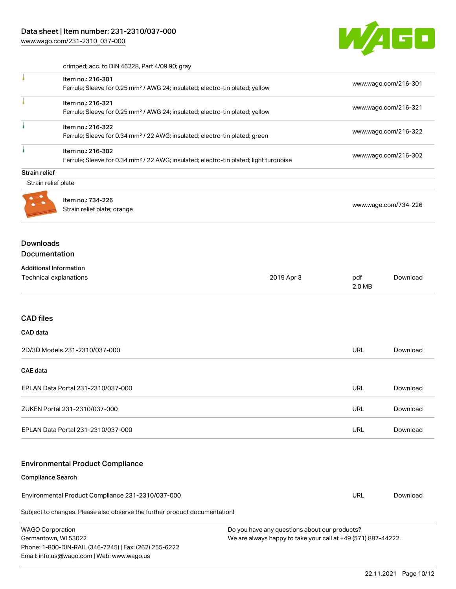Email: info.us@wago.com | Web: www.wago.us

W/4GO

|                                                         | crimped; acc. to DIN 46228, Part 4/09.90; gray                                                                         |                                                                                                                |                      |                      |  |
|---------------------------------------------------------|------------------------------------------------------------------------------------------------------------------------|----------------------------------------------------------------------------------------------------------------|----------------------|----------------------|--|
|                                                         | Item no.: 216-301<br>Ferrule; Sleeve for 0.25 mm <sup>2</sup> / AWG 24; insulated; electro-tin plated; yellow          |                                                                                                                |                      | www.wago.com/216-301 |  |
|                                                         | Item no.: 216-321<br>Ferrule; Sleeve for 0.25 mm <sup>2</sup> / AWG 24; insulated; electro-tin plated; yellow          |                                                                                                                |                      | www.wago.com/216-321 |  |
| ł                                                       | Item no.: 216-322<br>Ferrule; Sleeve for 0.34 mm <sup>2</sup> / 22 AWG; insulated; electro-tin plated; green           |                                                                                                                |                      | www.wago.com/216-322 |  |
| i.                                                      | Item no.: 216-302<br>Ferrule; Sleeve for 0.34 mm <sup>2</sup> / 22 AWG; insulated; electro-tin plated; light turquoise |                                                                                                                |                      | www.wago.com/216-302 |  |
| <b>Strain relief</b>                                    |                                                                                                                        |                                                                                                                |                      |                      |  |
| Strain relief plate                                     |                                                                                                                        |                                                                                                                |                      |                      |  |
|                                                         | Item no.: 734-226<br>Strain relief plate; orange                                                                       |                                                                                                                | www.wago.com/734-226 |                      |  |
| <b>Downloads</b><br><b>Documentation</b>                |                                                                                                                        |                                                                                                                |                      |                      |  |
| <b>Additional Information</b><br>Technical explanations |                                                                                                                        | 2019 Apr 3                                                                                                     | pdf<br>2.0 MB        | Download             |  |
| <b>CAD files</b><br>CAD data                            |                                                                                                                        |                                                                                                                |                      |                      |  |
|                                                         | 2D/3D Models 231-2310/037-000                                                                                          |                                                                                                                | <b>URL</b>           | Download             |  |
| <b>CAE</b> data                                         |                                                                                                                        |                                                                                                                |                      |                      |  |
|                                                         | EPLAN Data Portal 231-2310/037-000                                                                                     |                                                                                                                | <b>URL</b>           | Download             |  |
|                                                         | ZUKEN Portal 231-2310/037-000                                                                                          |                                                                                                                | URL                  | Download             |  |
|                                                         | EPLAN Data Portal 231-2310/037-000                                                                                     |                                                                                                                | URL                  | Download             |  |
|                                                         | <b>Environmental Product Compliance</b>                                                                                |                                                                                                                |                      |                      |  |
| <b>Compliance Search</b>                                |                                                                                                                        |                                                                                                                |                      |                      |  |
|                                                         | Environmental Product Compliance 231-2310/037-000                                                                      |                                                                                                                | URL                  | Download             |  |
|                                                         | Subject to changes. Please also observe the further product documentation!                                             |                                                                                                                |                      |                      |  |
| <b>WAGO Corporation</b><br>Germantown, WI 53022         | Phone: 1-800-DIN-RAIL (346-7245)   Fax: (262) 255-6222                                                                 | Do you have any questions about our products?<br>We are always happy to take your call at +49 (571) 887-44222. |                      |                      |  |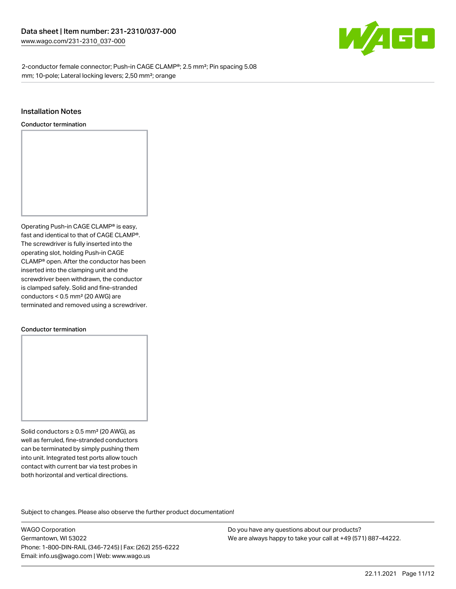

2-conductor female connector; Push-in CAGE CLAMP®; 2.5 mm²; Pin spacing 5.08 mm; 10-pole; Lateral locking levers; 2,50 mm²; orange

#### Installation Notes

Conductor termination



#### Conductor termination

Solid conductors ≥ 0.5 mm² (20 AWG), as well as ferruled, fine-stranded conductors can be terminated by simply pushing them into unit. Integrated test ports allow touch contact with current bar via test probes in both horizontal and vertical directions.

Subject to changes. Please also observe the further product documentation! Product family

WAGO Corporation Germantown, WI 53022 Phone: 1-800-DIN-RAIL (346-7245) | Fax: (262) 255-6222 Email: info.us@wago.com | Web: www.wago.us